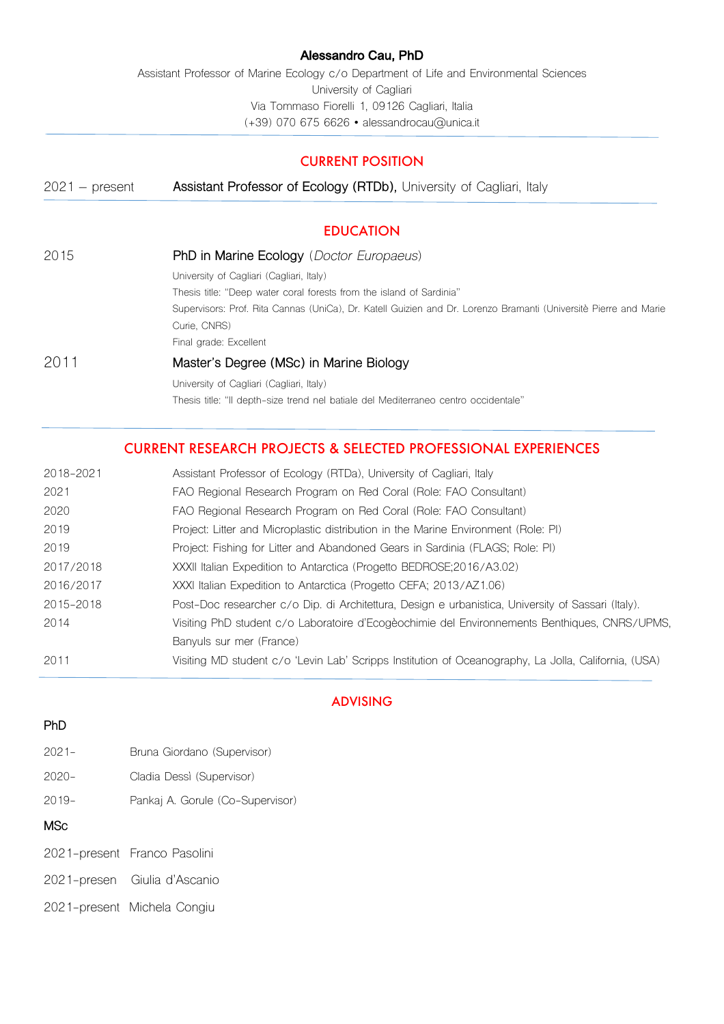#### Alessandro Cau, PhD

Assistant Professor of Marine Ecology c/o Department of Life and Environmental Sciences University of Cagliari Via Tommaso Fiorelli 1, 09126 Cagliari, Italia (+39) 070 675 6626 • alessandrocau@unica.it

# CURRENT POSITION

| $2021 - present$ | Assistant Professor of Ecology (RTDb), University of Cagliari, Italy                                             |
|------------------|------------------------------------------------------------------------------------------------------------------|
|                  | <b>EDUCATION</b>                                                                                                 |
| 2015             | <b>PhD in Marine Ecology</b> ( <i>Doctor Europaeus</i> )                                                         |
|                  | University of Cagliari (Cagliari, Italy)                                                                         |
|                  | Thesis title: "Deep water coral forests from the island of Sardinia"                                             |
|                  | Supervisors: Prof. Rita Cannas (UniCa), Dr. Katell Guizien and Dr. Lorenzo Bramanti (Universitè Pierre and Marie |
|                  | Curie, CNRS)                                                                                                     |
|                  | Final grade: Excellent                                                                                           |
| 2011             | Master's Degree (MSc) in Marine Biology                                                                          |
|                  | University of Cagliari (Cagliari, Italy)                                                                         |
|                  | Thesis title: "Il depth-size trend nel batiale del Mediterraneo centro occidentale"                              |

# CURRENT RESEARCH PROJECTS & SELECTED PROFESSIONAL EXPERIENCES

| 2018-2021 | Assistant Professor of Ecology (RTDa), University of Cagliari, Italy                                 |  |  |
|-----------|------------------------------------------------------------------------------------------------------|--|--|
| 2021      | FAO Regional Research Program on Red Coral (Role: FAO Consultant)                                    |  |  |
| 2020      | FAO Regional Research Program on Red Coral (Role: FAO Consultant)                                    |  |  |
| 2019      | Project: Litter and Microplastic distribution in the Marine Environment (Role: PI)                   |  |  |
| 2019      | Project: Fishing for Litter and Abandoned Gears in Sardinia (FLAGS; Role: PI)                        |  |  |
| 2017/2018 | XXXII Italian Expedition to Antarctica (Progetto BEDROSE; 2016/A3.02)                                |  |  |
| 2016/2017 | XXXI Italian Expedition to Antarctica (Progetto CEFA; 2013/AZ1.06)                                   |  |  |
| 2015-2018 | Post-Doc researcher c/o Dip. di Architettura, Design e urbanistica, University of Sassari (Italy).   |  |  |
| 2014      | Visiting PhD student c/o Laboratoire d'Ecogèochimie del Environnements Benthigues, CNRS/UPMS,        |  |  |
|           | Banyuls sur mer (France)                                                                             |  |  |
| 2011      | Visiting MD student c/o 'Levin Lab' Scripps Institution of Oceanography, La Jolla, California, (USA) |  |  |

# ADVISING

#### **PhD**

- 2021- Bruna Giordano (Supervisor)
- 2020- Cladia Dessì (Supervisor)
- 2019- Pankaj A. Gorule (Co-Supervisor)

#### **MSc**

- 2021-present Franco Pasolini
- 2021-presen Giulia d'Ascanio
- 2021-present Michela Congiu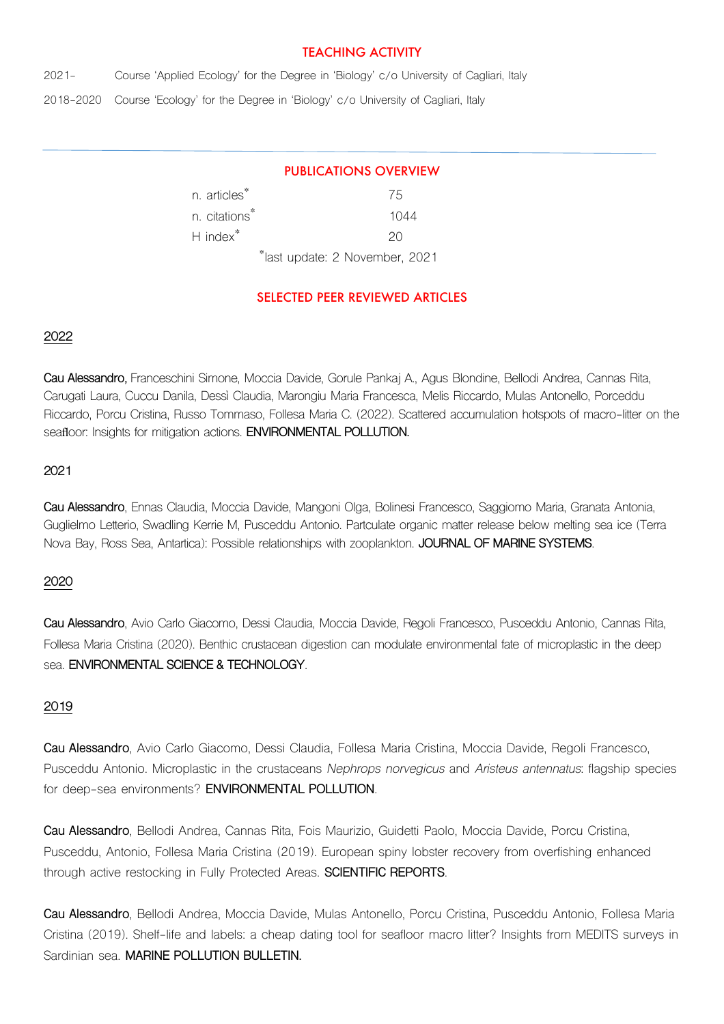## TEACHING ACTIVITY

2021- Course 'Applied Ecology' for the Degree in 'Biology' c/o University of Cagliari, Italy

2018-2020 Course 'Ecology' for the Degree in 'Biology' c/o University of Cagliari, Italy

## PUBLICATIONS OVERVIEW

| n. articles <sup>*</sup>  | 75                                         |
|---------------------------|--------------------------------------------|
| n. citations <sup>*</sup> | 1044                                       |
| H index <sup>*</sup>      | 20                                         |
|                           | <sup>*</sup> last update: 2 November, 2021 |

## SELECTED PEER REVIEWED ARTICLES

#### **2022**

**Cau Alessandro,** Franceschini Simone, Moccia Davide, Gorule Pankaj A., Agus Blondine, Bellodi Andrea, Cannas Rita, Carugati Laura, Cuccu Danila, Dessì Claudia, Marongiu Maria Francesca, Melis Riccardo, Mulas Antonello, Porceddu Riccardo, Porcu Cristina, Russo Tommaso, Follesa Maria C. (2022). Scattered accumulation hotspots of macro-litter on the seafloor: Insights for mitigation actions. **ENVIRONMENTAL POLLUTION.** 

#### **2021**

**Cau Alessandro**, Ennas Claudia, Moccia Davide, Mangoni Olga, Bolinesi Francesco, Saggiomo Maria, Granata Antonia, Guglielmo Letterio, Swadling Kerrie M, Pusceddu Antonio. Partculate organic matter release below melting sea ice (Terra Nova Bay, Ross Sea, Antartica): Possible relationships with zooplankton. **JOURNAL OF MARINE SYSTEMS**.

#### **2020**

**Cau Alessandro**, Avio Carlo Giacomo, Dessi Claudia, Moccia Davide, Regoli Francesco, Pusceddu Antonio, Cannas Rita, Follesa Maria Cristina (2020). Benthic crustacean digestion can modulate environmental fate of microplastic in the deep sea. **ENVIRONMENTAL SCIENCE & TECHNOLOGY**.

#### **2019**

**Cau Alessandro**, Avio Carlo Giacomo, Dessi Claudia, Follesa Maria Cristina, Moccia Davide, Regoli Francesco, Pusceddu Antonio. Microplastic in the crustaceans *Nephrops norvegicus* and *Aristeus antennatus*: flagship species for deep-sea environments? **ENVIRONMENTAL POLLUTION**.

**Cau Alessandro**, Bellodi Andrea, Cannas Rita, Fois Maurizio, Guidetti Paolo, Moccia Davide, Porcu Cristina, Pusceddu, Antonio, Follesa Maria Cristina (2019). European spiny lobster recovery from overfishing enhanced through active restocking in Fully Protected Areas. **SCIENTIFIC REPORTS**.

**Cau Alessandro**, Bellodi Andrea, Moccia Davide, Mulas Antonello, Porcu Cristina, Pusceddu Antonio, Follesa Maria Cristina (2019). Shelf-life and labels: a cheap dating tool for seafloor macro litter? Insights from MEDITS surveys in Sardinian sea. **MARINE POLLUTION BULLETIN.**